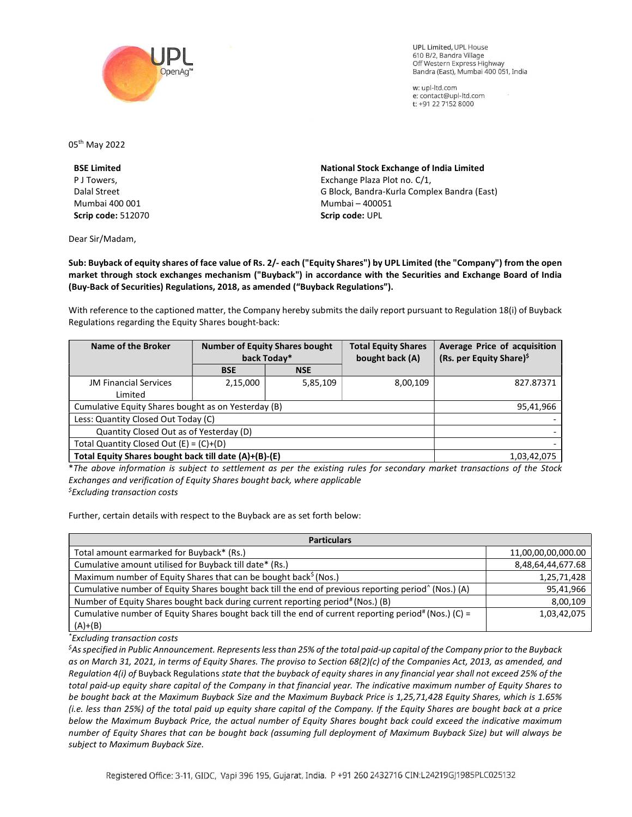

**UPL Limited. UPL House** 610 B/2, Bandra Village Off Western Express Highway Bandra (East), Mumbai 400 051, India

w: upl-ltd.com e: contact@upl-ltd.com t: +91 22 7152 8000

05th May 2022

BSE Limited P J Towers, Dalal Street Mumbai 400 001 Scrip code: 512070

Dear Sir/Madam,

National Stock Exchange of India Limited Exchange Plaza Plot no. C/1, G Block, Bandra-Kurla Complex Bandra (East) Mumbai – 400051 Scrip code: UPL

Sub: Buyback of equity shares of face value of Rs. 2/- each ("Equity Shares") by UPL Limited (the "Company") from the open market through stock exchanges mechanism ("Buyback") in accordance with the Securities and Exchange Board of India (Buy-Back of Securities) Regulations, 2018, as amended ("Buyback Regulations").

With reference to the captioned matter, the Company hereby submits the daily report pursuant to Regulation 18(i) of Buyback Regulations regarding the Equity Shares bought-back:

| Name of the Broker                                    | <b>Number of Equity Shares bought</b><br>back Today* |            | <b>Total Equity Shares</b><br>bought back (A) | Average Price of acquisition<br>(Rs. per Equity Share) <sup>\$</sup> |
|-------------------------------------------------------|------------------------------------------------------|------------|-----------------------------------------------|----------------------------------------------------------------------|
|                                                       | <b>BSE</b>                                           | <b>NSE</b> |                                               |                                                                      |
| <b>JM Financial Services</b>                          | 2,15,000                                             | 5,85,109   | 8,00,109                                      | 827.87371                                                            |
| Limited                                               |                                                      |            |                                               |                                                                      |
| Cumulative Equity Shares bought as on Yesterday (B)   |                                                      |            |                                               | 95,41,966                                                            |
| Less: Quantity Closed Out Today (C)                   |                                                      |            |                                               |                                                                      |
| Quantity Closed Out as of Yesterday (D)               |                                                      |            |                                               |                                                                      |
| Total Quantity Closed Out $(E) = (C)+(D)$             |                                                      |            |                                               |                                                                      |
| Total Equity Shares bought back till date (A)+(B)-(E) |                                                      |            |                                               | 1,03,42,075                                                          |

\*The above information is subject to settlement as per the existing rules for secondary market transactions of the Stock Exchanges and verification of Equity Shares bought back, where applicable  $<sup>5</sup>$ Excluding transaction costs</sup>

Further, certain details with respect to the Buyback are as set forth below:

| <b>Particulars</b>                                                                                               |                    |  |  |  |
|------------------------------------------------------------------------------------------------------------------|--------------------|--|--|--|
| Total amount earmarked for Buyback* (Rs.)                                                                        | 11,00,00,00,000.00 |  |  |  |
| Cumulative amount utilised for Buyback till date* (Rs.)                                                          | 8,48,64,44,677.68  |  |  |  |
| Maximum number of Equity Shares that can be bought back <sup>\$</sup> (Nos.)                                     | 1,25,71,428        |  |  |  |
| Cumulative number of Equity Shares bought back till the end of previous reporting period <sup>^</sup> (Nos.) (A) | 95,41,966          |  |  |  |
| Number of Equity Shares bought back during current reporting period# (Nos.) (B)                                  | 8,00,109           |  |  |  |
| Cumulative number of Equity Shares bought back till the end of current reporting period# (Nos.) (C) =            | 1,03,42,075        |  |  |  |
| $(A)+(B)$                                                                                                        |                    |  |  |  |

\*Excluding transaction costs

 ${}^5$ As specified in Public Announcement. Represents less than 25% of the total paid-up capital of the Company prior to the Buyback as on March 31, 2021, in terms of Equity Shares. The proviso to Section 68(2)(c) of the Companies Act, 2013, as amended, and Regulation 4(i) of Buyback Regulations state that the buyback of equity shares in any financial year shall not exceed 25% of the total paid-up equity share capital of the Company in that financial year. The indicative maximum number of Equity Shares to be bought back at the Maximum Buyback Size and the Maximum Buyback Price is 1,25,71,428 Equity Shares, which is 1.65% (i.e. less than 25%) of the total paid up equity share capital of the Company. If the Equity Shares are bought back at a price below the Maximum Buyback Price, the actual number of Equity Shares bought back could exceed the indicative maximum number of Equity Shares that can be bought back (assuming full deployment of Maximum Buyback Size) but will always be subject to Maximum Buyback Size.